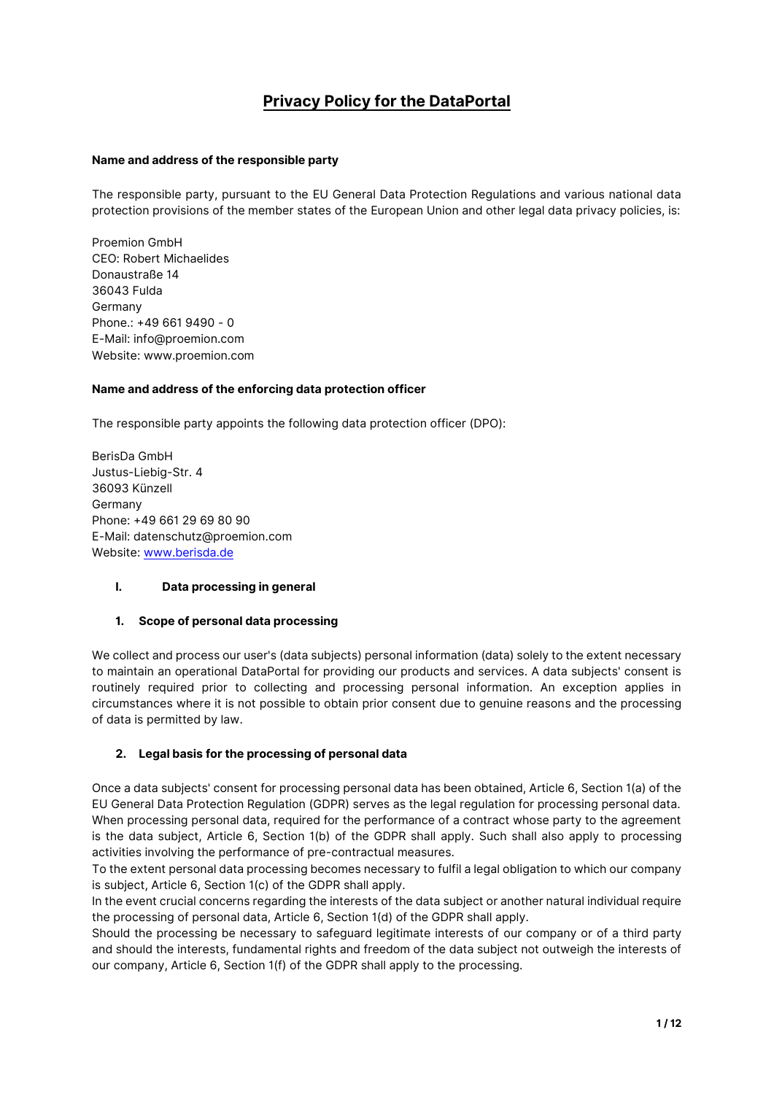# **Privacy Policy for the DataPortal**

### **Name and address of the responsible party**

The responsible party, pursuant to the EU General Data Protection Regulations and various national data protection provisions of the member states of the European Union and other legal data privacy policies, is:

Proemion GmbH CEO: Robert Michaelides Donaustraße 14 36043 Fulda Germany Phone.: +49 661 9490 - 0 E-Mail: info@proemion.com Website: www.proemion.com

#### **Name and address of the enforcing data protection officer**

The responsible party appoints the following data protection officer (DPO):

BerisDa GmbH Justus-Liebig-Str. 4 36093 Künzell Germany Phone: +49 661 29 69 80 90 E-Mail: datenschutz@proemion.com Website[: www.berisda.de](http://www.berisda.de/)

#### **I. Data processing in general**

#### **1. Scope of personal data processing**

We collect and process our user's (data subjects) personal information (data) solely to the extent necessary to maintain an operational DataPortal for providing our products and services. A data subjects' consent is routinely required prior to collecting and processing personal information. An exception applies in circumstances where it is not possible to obtain prior consent due to genuine reasons and the processing of data is permitted by law.

# **2. Legal basis for the processing of personal data**

Once a data subjects' consent for processing personal data has been obtained, Article 6, Section 1(a) of the EU General Data Protection Regulation (GDPR) serves as the legal regulation for processing personal data. When processing personal data, required for the performance of a contract whose party to the agreement is the data subject, Article 6, Section 1(b) of the GDPR shall apply. Such shall also apply to processing activities involving the performance of pre-contractual measures.

To the extent personal data processing becomes necessary to fulfil a legal obligation to which our company is subject, Article 6, Section 1(c) of the GDPR shall apply.

In the event crucial concerns regarding the interests of the data subject or another natural individual require the processing of personal data, Article 6, Section 1(d) of the GDPR shall apply.

Should the processing be necessary to safeguard legitimate interests of our company or of a third party and should the interests, fundamental rights and freedom of the data subject not outweigh the interests of our company, Article 6, Section 1(f) of the GDPR shall apply to the processing.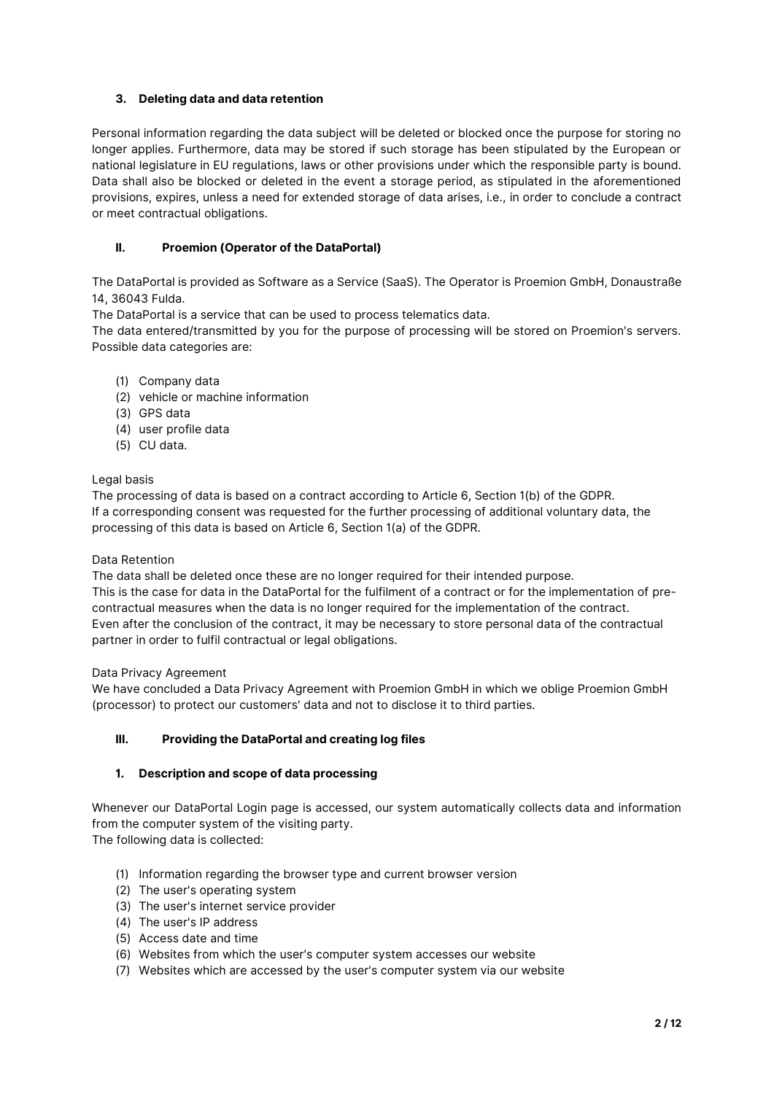### **3. Deleting data and data retention**

Personal information regarding the data subject will be deleted or blocked once the purpose for storing no longer applies. Furthermore, data may be stored if such storage has been stipulated by the European or national legislature in EU regulations, laws or other provisions under which the responsible party is bound. Data shall also be blocked or deleted in the event a storage period, as stipulated in the aforementioned provisions, expires, unless a need for extended storage of data arises, i.e., in order to conclude a contract or meet contractual obligations.

### **II. Proemion (Operator of the DataPortal)**

The DataPortal is provided as Software as a Service (SaaS). The Operator is Proemion GmbH, Donaustraße 14, 36043 Fulda.

The DataPortal is a service that can be used to process telematics data.

The data entered/transmitted by you for the purpose of processing will be stored on Proemion's servers. Possible data categories are:

- (1) Company data
- (2) vehicle or machine information
- (3) GPS data
- (4) user profile data
- (5) CU data.

#### Legal basis

The processing of data is based on a contract according to Article 6, Section 1(b) of the GDPR. If a corresponding consent was requested for the further processing of additional voluntary data, the processing of this data is based on Article 6, Section 1(a) of the GDPR.

#### Data Retention

The data shall be deleted once these are no longer required for their intended purpose. This is the case for data in the DataPortal for the fulfilment of a contract or for the implementation of precontractual measures when the data is no longer required for the implementation of the contract. Even after the conclusion of the contract, it may be necessary to store personal data of the contractual partner in order to fulfil contractual or legal obligations.

#### Data Privacy Agreement

We have concluded a Data Privacy Agreement with Proemion GmbH in which we oblige Proemion GmbH (processor) to protect our customers' data and not to disclose it to third parties.

#### **III. Providing the DataPortal and creating log files**

### **1. Description and scope of data processing**

Whenever our DataPortal Login page is accessed, our system automatically collects data and information from the computer system of the visiting party.

The following data is collected:

- (1) Information regarding the browser type and current browser version
- (2) The user's operating system
- (3) The user's internet service provider
- (4) The user's IP address
- (5) Access date and time
- (6) Websites from which the user's computer system accesses our website
- (7) Websites which are accessed by the user's computer system via our website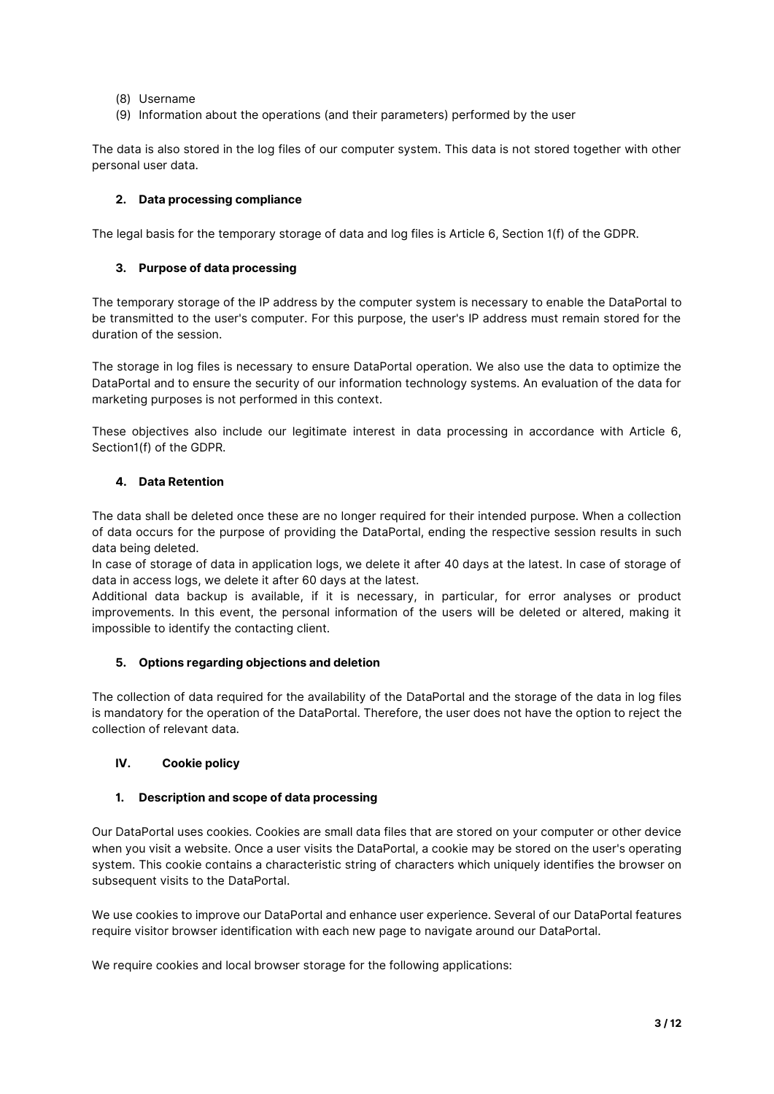- (8) Username
- (9) Information about the operations (and their parameters) performed by the user

The data is also stored in the log files of our computer system. This data is not stored together with other personal user data.

### **2. Data processing compliance**

The legal basis for the temporary storage of data and log files is Article 6, Section 1(f) of the GDPR.

### **3. Purpose of data processing**

The temporary storage of the IP address by the computer system is necessary to enable the DataPortal to be transmitted to the user's computer. For this purpose, the user's IP address must remain stored for the duration of the session.

The storage in log files is necessary to ensure DataPortal operation. We also use the data to optimize the DataPortal and to ensure the security of our information technology systems. An evaluation of the data for marketing purposes is not performed in this context.

These objectives also include our legitimate interest in data processing in accordance with Article 6, Section1(f) of the GDPR.

### **4. Data Retention**

The data shall be deleted once these are no longer required for their intended purpose. When a collection of data occurs for the purpose of providing the DataPortal, ending the respective session results in such data being deleted.

In case of storage of data in application logs, we delete it after 40 days at the latest. In case of storage of data in access logs, we delete it after 60 days at the latest.

Additional data backup is available, if it is necessary, in particular, for error analyses or product improvements. In this event, the personal information of the users will be deleted or altered, making it impossible to identify the contacting client.

#### **5. Options regarding objections and deletion**

The collection of data required for the availability of the DataPortal and the storage of the data in log files is mandatory for the operation of the DataPortal. Therefore, the user does not have the option to reject the collection of relevant data.

#### **IV. Cookie policy**

#### **1. Description and scope of data processing**

Our DataPortal uses cookies. Cookies are small data files that are stored on your computer or other device when you visit a website. Once a user visits the DataPortal, a cookie may be stored on the user's operating system. This cookie contains a characteristic string of characters which uniquely identifies the browser on subsequent visits to the DataPortal.

We use cookies to improve our DataPortal and enhance user experience. Several of our DataPortal features require visitor browser identification with each new page to navigate around our DataPortal.

We require cookies and local browser storage for the following applications: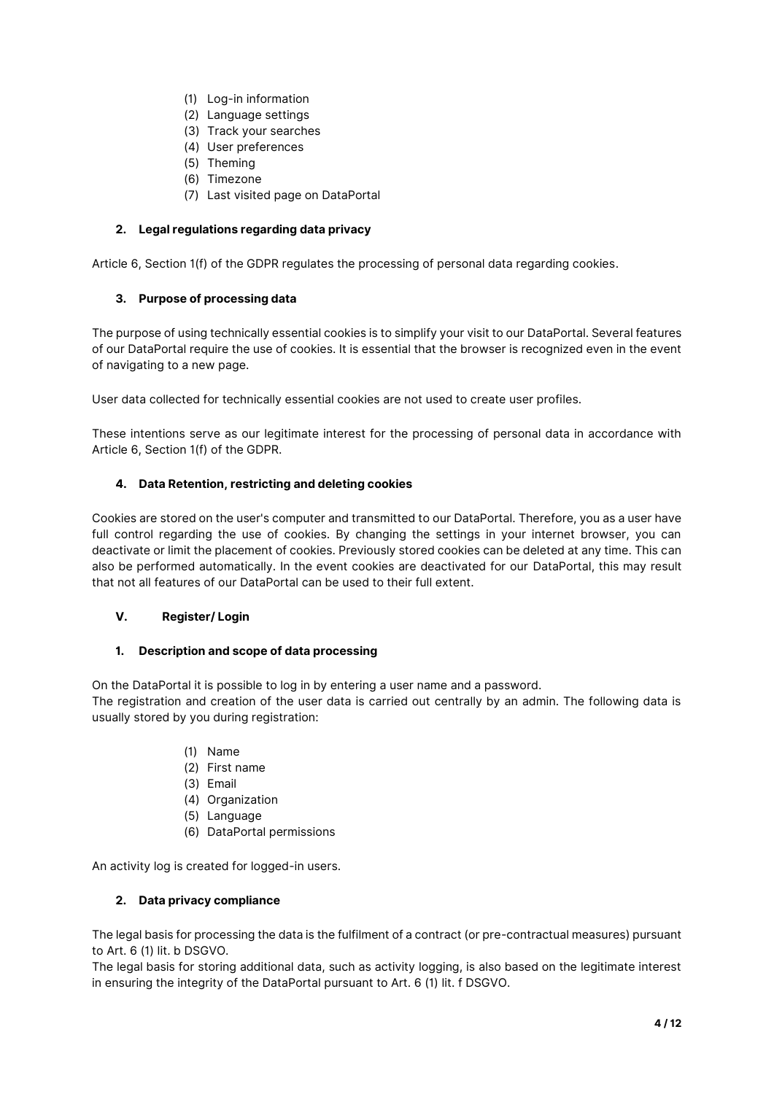- (1) Log-in information
- (2) Language settings
- (3) Track your searches
- (4) User preferences
- (5) Theming
- (6) Timezone
- (7) Last visited page on DataPortal

# **2. Legal regulations regarding data privacy**

Article 6, Section 1(f) of the GDPR regulates the processing of personal data regarding cookies.

# **3. Purpose of processing data**

The purpose of using technically essential cookies is to simplify your visit to our DataPortal. Several features of our DataPortal require the use of cookies. It is essential that the browser is recognized even in the event of navigating to a new page.

User data collected for technically essential cookies are not used to create user profiles.

These intentions serve as our legitimate interest for the processing of personal data in accordance with Article 6, Section 1(f) of the GDPR.

# **4. Data Retention, restricting and deleting cookies**

Cookies are stored on the user's computer and transmitted to our DataPortal. Therefore, you as a user have full control regarding the use of cookies. By changing the settings in your internet browser, you can deactivate or limit the placement of cookies. Previously stored cookies can be deleted at any time. This can also be performed automatically. In the event cookies are deactivated for our DataPortal, this may result that not all features of our DataPortal can be used to their full extent.

# **V. Register/ Login**

# **1. Description and scope of data processing**

On the DataPortal it is possible to log in by entering a user name and a password.

The registration and creation of the user data is carried out centrally by an admin. The following data is usually stored by you during registration:

- (1) Name
- (2) First name
- (3) Email
- (4) Organization
- (5) Language
- (6) DataPortal permissions

An activity log is created for logged-in users.

#### **2. Data privacy compliance**

The legal basis for processing the data is the fulfilment of a contract (or pre-contractual measures) pursuant to Art. 6 (1) lit. b DSGVO.

The legal basis for storing additional data, such as activity logging, is also based on the legitimate interest in ensuring the integrity of the DataPortal pursuant to Art. 6 (1) lit. f DSGVO.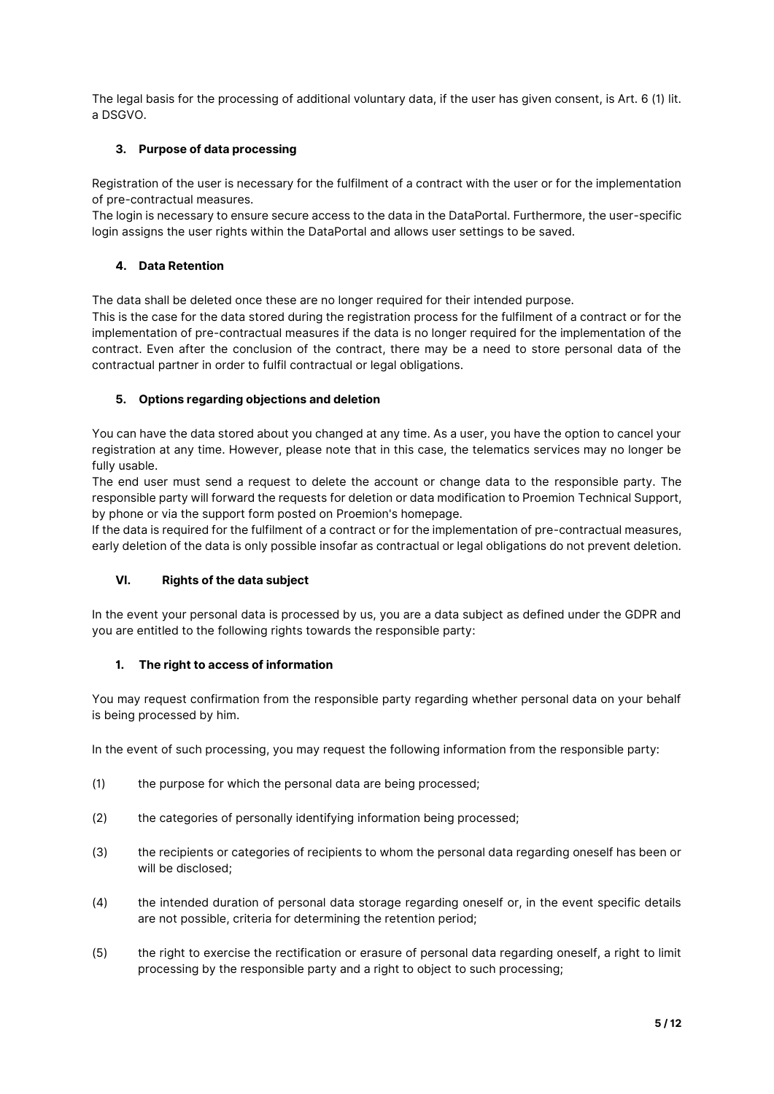The legal basis for the processing of additional voluntary data, if the user has given consent, is Art. 6 (1) lit. a DSGVO.

# **3. Purpose of data processing**

Registration of the user is necessary for the fulfilment of a contract with the user or for the implementation of pre-contractual measures.

The login is necessary to ensure secure access to the data in the DataPortal. Furthermore, the user-specific login assigns the user rights within the DataPortal and allows user settings to be saved.

### **4. Data Retention**

The data shall be deleted once these are no longer required for their intended purpose.

This is the case for the data stored during the registration process for the fulfilment of a contract or for the implementation of pre-contractual measures if the data is no longer required for the implementation of the contract. Even after the conclusion of the contract, there may be a need to store personal data of the contractual partner in order to fulfil contractual or legal obligations.

### **5. Options regarding objections and deletion**

You can have the data stored about you changed at any time. As a user, you have the option to cancel your registration at any time. However, please note that in this case, the telematics services may no longer be fully usable.

The end user must send a request to delete the account or change data to the responsible party. The responsible party will forward the requests for deletion or data modification to Proemion Technical Support, by phone or via the support form posted on Proemion's homepage.

If the data is required for the fulfilment of a contract or for the implementation of pre-contractual measures, early deletion of the data is only possible insofar as contractual or legal obligations do not prevent deletion.

# **VI. Rights of the data subject**

In the event your personal data is processed by us, you are a data subject as defined under the GDPR and you are entitled to the following rights towards the responsible party:

# **1. The right to access of information**

You may request confirmation from the responsible party regarding whether personal data on your behalf is being processed by him.

In the event of such processing, you may request the following information from the responsible party:

- (1) the purpose for which the personal data are being processed;
- (2) the categories of personally identifying information being processed:
- (3) the recipients or categories of recipients to whom the personal data regarding oneself has been or will be disclosed;
- (4) the intended duration of personal data storage regarding oneself or, in the event specific details are not possible, criteria for determining the retention period;
- (5) the right to exercise the rectification or erasure of personal data regarding oneself, a right to limit processing by the responsible party and a right to object to such processing;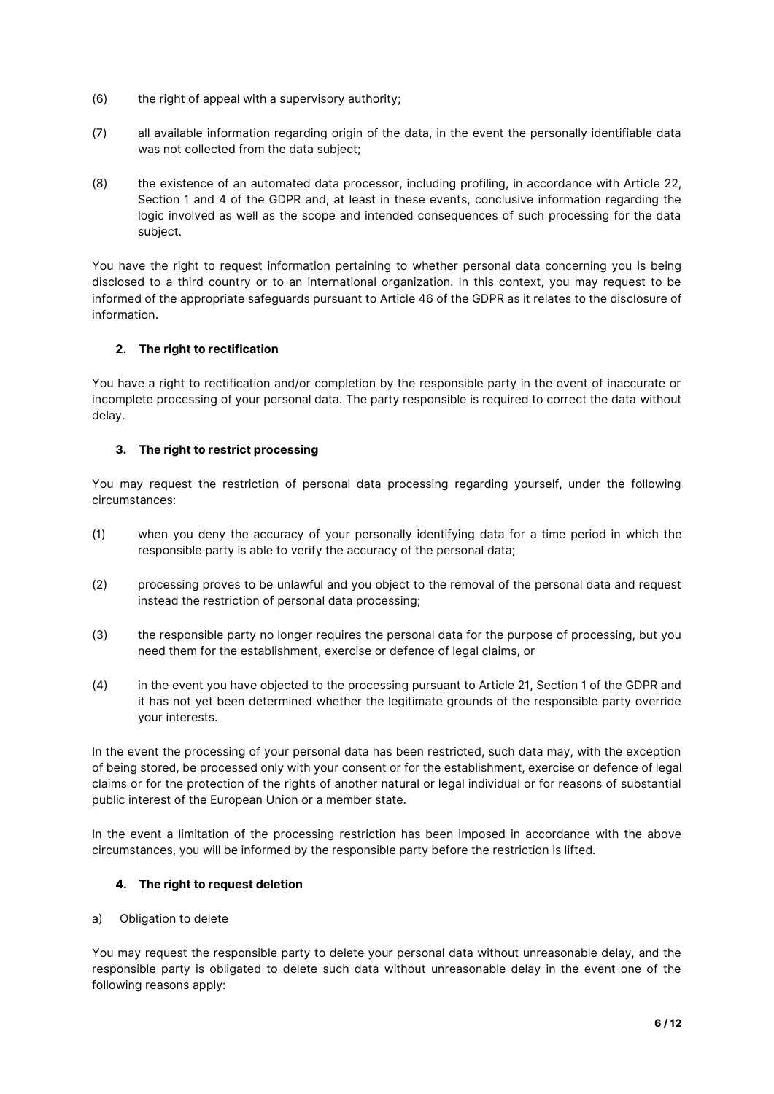- (6) the right of appeal with a supervisory authority;
- (7) all available information regarding origin of the data, in the event the personally identifiable data was not collected from the data subject;
- (8) the existence of an automated data processor, including profiling, in accordance with Article 22, Section 1 and 4 of the GDPR and, at least in these events, conclusive information regarding the logic involved as well as the scope and intended consequences of such processing for the data subject.

You have the right to request information pertaining to whether personal data concerning you is being disclosed to a third country or to an international organization. In this context, you may request to be informed of the appropriate safeguards pursuant to Article 46 of the GDPR as it relates to the disclosure of information.

### **2. The right to rectification**

You have a right to rectification and/or completion by the responsible party in the event of inaccurate or incomplete processing of your personal data. The party responsible is required to correct the data without delay.

### **3. The right to restrict processing**

You may request the restriction of personal data processing regarding yourself, under the following circumstances:

- (1) when you deny the accuracy of your personally identifying data for a time period in which the responsible party is able to verify the accuracy of the personal data;
- (2) processing proves to be unlawful and you object to the removal of the personal data and request instead the restriction of personal data processing;
- (3) the responsible party no longer requires the personal data for the purpose of processing, but you need them for the establishment, exercise or defence of legal claims, or
- (4) in the event you have objected to the processing pursuant to Article 21, Section 1 of the GDPR and it has not yet been determined whether the legitimate grounds of the responsible party override your interests.

In the event the processing of your personal data has been restricted, such data may, with the exception of being stored, be processed only with your consent or for the establishment, exercise or defence of legal claims or for the protection of the rights of another natural or legal individual or for reasons of substantial public interest of the European Union or a member state.

In the event a limitation of the processing restriction has been imposed in accordance with the above circumstances, you will be informed by the responsible party before the restriction is lifted.

# **4. The right to request deletion**

a) Obligation to delete

You may request the responsible party to delete your personal data without unreasonable delay, and the responsible party is obligated to delete such data without unreasonable delay in the event one of the following reasons apply: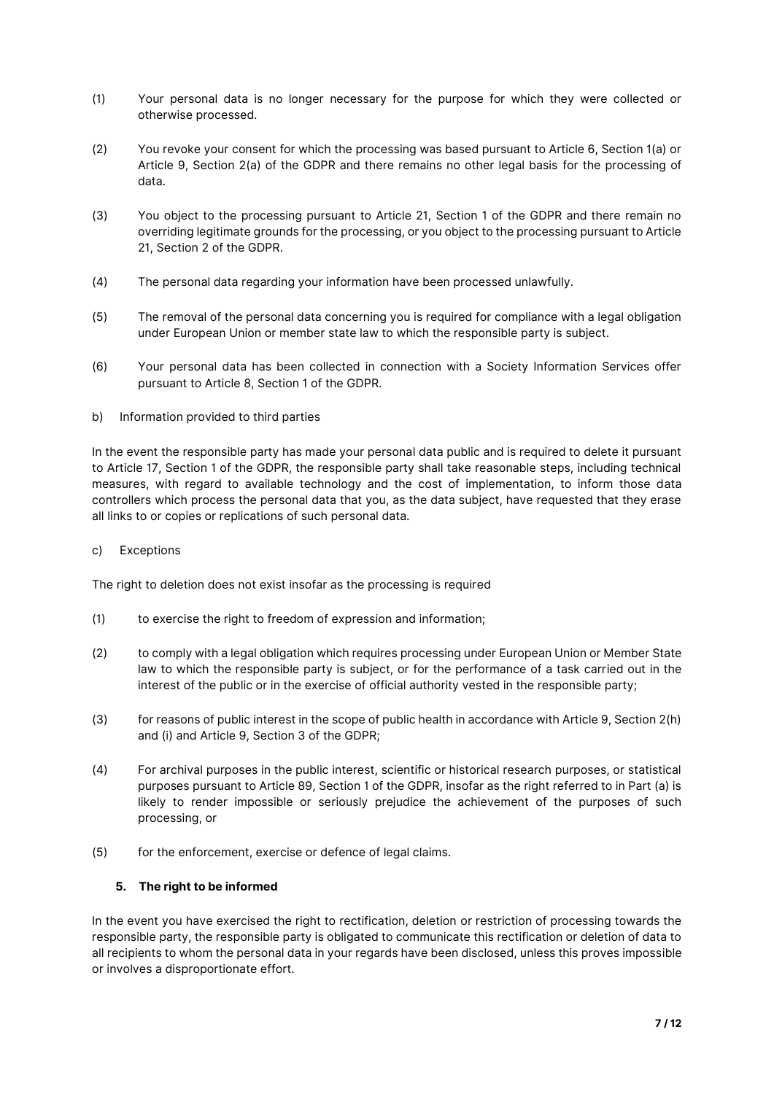- (1) Your personal data is no longer necessary for the purpose for which they were collected or otherwise processed.
- (2) You revoke your consent for which the processing was based pursuant to Article 6, Section 1(a) or Article 9, Section 2(a) of the GDPR and there remains no other legal basis for the processing of data.
- (3) You object to the processing pursuant to Article 21, Section 1 of the GDPR and there remain no overriding legitimate grounds for the processing, or you object to the processing pursuant to Article 21, Section 2 of the GDPR.
- (4) The personal data regarding your information have been processed unlawfully.
- (5) The removal of the personal data concerning you is required for compliance with a legal obligation under European Union or member state law to which the responsible party is subject.
- (6) Your personal data has been collected in connection with a Society Information Services offer pursuant to Article 8, Section 1 of the GDPR.
- b) Information provided to third parties

In the event the responsible party has made your personal data public and is required to delete it pursuant to Article 17, Section 1 of the GDPR, the responsible party shall take reasonable steps, including technical measures, with regard to available technology and the cost of implementation, to inform those data controllers which process the personal data that you, as the data subject, have requested that they erase all links to or copies or replications of such personal data.

c) Exceptions

The right to deletion does not exist insofar as the processing is required

- (1) to exercise the right to freedom of expression and information;
- (2) to comply with a legal obligation which requires processing under European Union or Member State law to which the responsible party is subject, or for the performance of a task carried out in the interest of the public or in the exercise of official authority vested in the responsible party;
- (3) for reasons of public interest in the scope of public health in accordance with Article 9, Section 2(h) and (i) and Article 9, Section 3 of the GDPR;
- (4) For archival purposes in the public interest, scientific or historical research purposes, or statistical purposes pursuant to Article 89, Section 1 of the GDPR, insofar as the right referred to in Part (a) is likely to render impossible or seriously prejudice the achievement of the purposes of such processing, or
- (5) for the enforcement, exercise or defence of legal claims.

# **5. The right to be informed**

In the event you have exercised the right to rectification, deletion or restriction of processing towards the responsible party, the responsible party is obligated to communicate this rectification or deletion of data to all recipients to whom the personal data in your regards have been disclosed, unless this proves impossible or involves a disproportionate effort.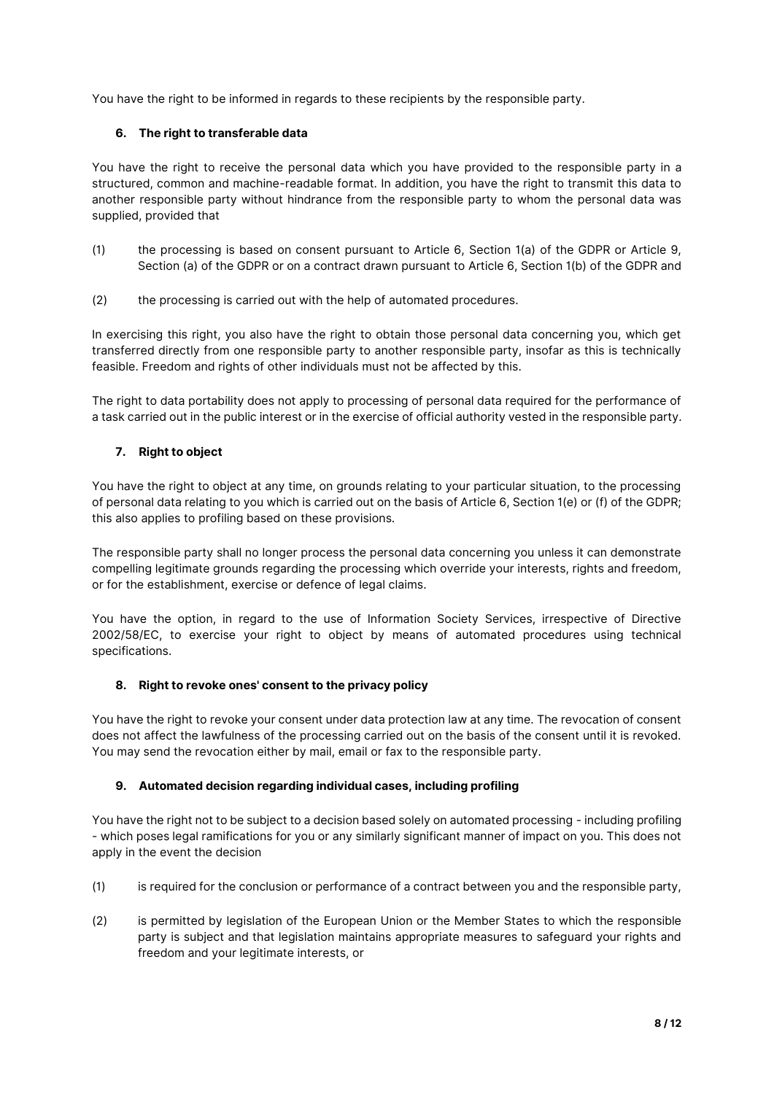You have the right to be informed in regards to these recipients by the responsible party.

### **6. The right to transferable data**

You have the right to receive the personal data which you have provided to the responsible party in a structured, common and machine-readable format. In addition, you have the right to transmit this data to another responsible party without hindrance from the responsible party to whom the personal data was supplied, provided that

- (1) the processing is based on consent pursuant to Article 6, Section 1(a) of the GDPR or Article 9, Section (a) of the GDPR or on a contract drawn pursuant to Article 6, Section 1(b) of the GDPR and
- (2) the processing is carried out with the help of automated procedures.

In exercising this right, you also have the right to obtain those personal data concerning you, which get transferred directly from one responsible party to another responsible party, insofar as this is technically feasible. Freedom and rights of other individuals must not be affected by this.

The right to data portability does not apply to processing of personal data required for the performance of a task carried out in the public interest or in the exercise of official authority vested in the responsible party.

### **7. Right to object**

You have the right to object at any time, on grounds relating to your particular situation, to the processing of personal data relating to you which is carried out on the basis of Article 6, Section 1(e) or (f) of the GDPR; this also applies to profiling based on these provisions.

The responsible party shall no longer process the personal data concerning you unless it can demonstrate compelling legitimate grounds regarding the processing which override your interests, rights and freedom, or for the establishment, exercise or defence of legal claims.

You have the option, in regard to the use of Information Society Services, irrespective of Directive 2002/58/EC, to exercise your right to object by means of automated procedures using technical specifications.

#### **8. Right to revoke ones' consent to the privacy policy**

You have the right to revoke your consent under data protection law at any time. The revocation of consent does not affect the lawfulness of the processing carried out on the basis of the consent until it is revoked. You may send the revocation either by mail, email or fax to the responsible party.

#### **9. Automated decision regarding individual cases, including profiling**

You have the right not to be subject to a decision based solely on automated processing - including profiling - which poses legal ramifications for you or any similarly significant manner of impact on you. This does not apply in the event the decision

- (1) is required for the conclusion or performance of a contract between you and the responsible party,
- (2) is permitted by legislation of the European Union or the Member States to which the responsible party is subject and that legislation maintains appropriate measures to safeguard your rights and freedom and your legitimate interests, or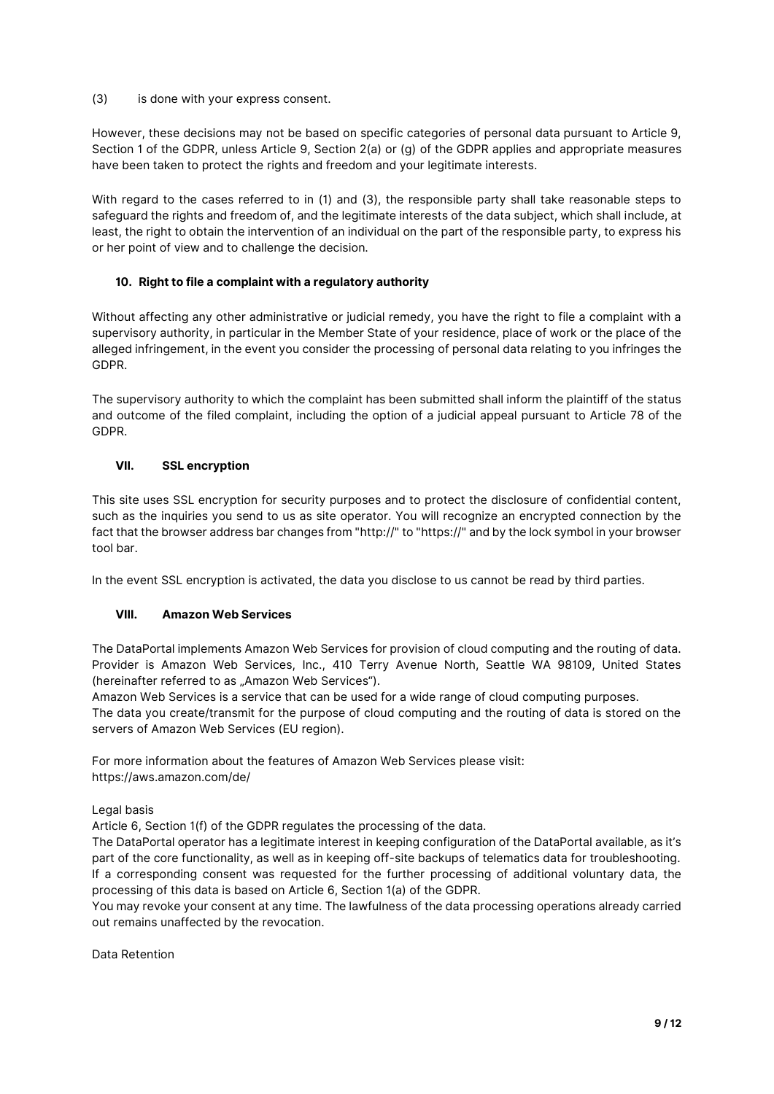(3) is done with your express consent.

However, these decisions may not be based on specific categories of personal data pursuant to Article 9, Section 1 of the GDPR, unless Article 9, Section 2(a) or (g) of the GDPR applies and appropriate measures have been taken to protect the rights and freedom and your legitimate interests.

With regard to the cases referred to in (1) and (3), the responsible party shall take reasonable steps to safeguard the rights and freedom of, and the legitimate interests of the data subject, which shall include, at least, the right to obtain the intervention of an individual on the part of the responsible party, to express his or her point of view and to challenge the decision.

# **10. Right to file a complaint with a regulatory authority**

Without affecting any other administrative or judicial remedy, you have the right to file a complaint with a supervisory authority, in particular in the Member State of your residence, place of work or the place of the alleged infringement, in the event you consider the processing of personal data relating to you infringes the GDPR.

The supervisory authority to which the complaint has been submitted shall inform the plaintiff of the status and outcome of the filed complaint, including the option of a judicial appeal pursuant to Article 78 of the GDPR.

# **VII. SSL encryption**

This site uses SSL encryption for security purposes and to protect the disclosure of confidential content, such as the inquiries you send to us as site operator. You will recognize an encrypted connection by the fact that the browser address bar changes from "http://" to "https://" and by the lock symbol in your browser tool bar.

In the event SSL encryption is activated, the data you disclose to us cannot be read by third parties.

# **VIII. Amazon Web Services**

The DataPortal implements Amazon Web Services for provision of cloud computing and the routing of data. Provider is Amazon Web Services, Inc., 410 Terry Avenue North, Seattle WA 98109, United States (hereinafter referred to as "Amazon Web Services").

Amazon Web Services is a service that can be used for a wide range of cloud computing purposes.

The data you create/transmit for the purpose of cloud computing and the routing of data is stored on the servers of Amazon Web Services (EU region).

For more information about the features of Amazon Web Services please visit: https://aws.amazon.com/de/

# Legal basis

Article 6, Section 1(f) of the GDPR regulates the processing of the data.

The DataPortal operator has a legitimate interest in keeping configuration of the DataPortal available, as it's part of the core functionality, as well as in keeping off-site backups of telematics data for troubleshooting. If a corresponding consent was requested for the further processing of additional voluntary data, the processing of this data is based on Article 6, Section 1(a) of the GDPR.

You may revoke your consent at any time. The lawfulness of the data processing operations already carried out remains unaffected by the revocation.

Data Retention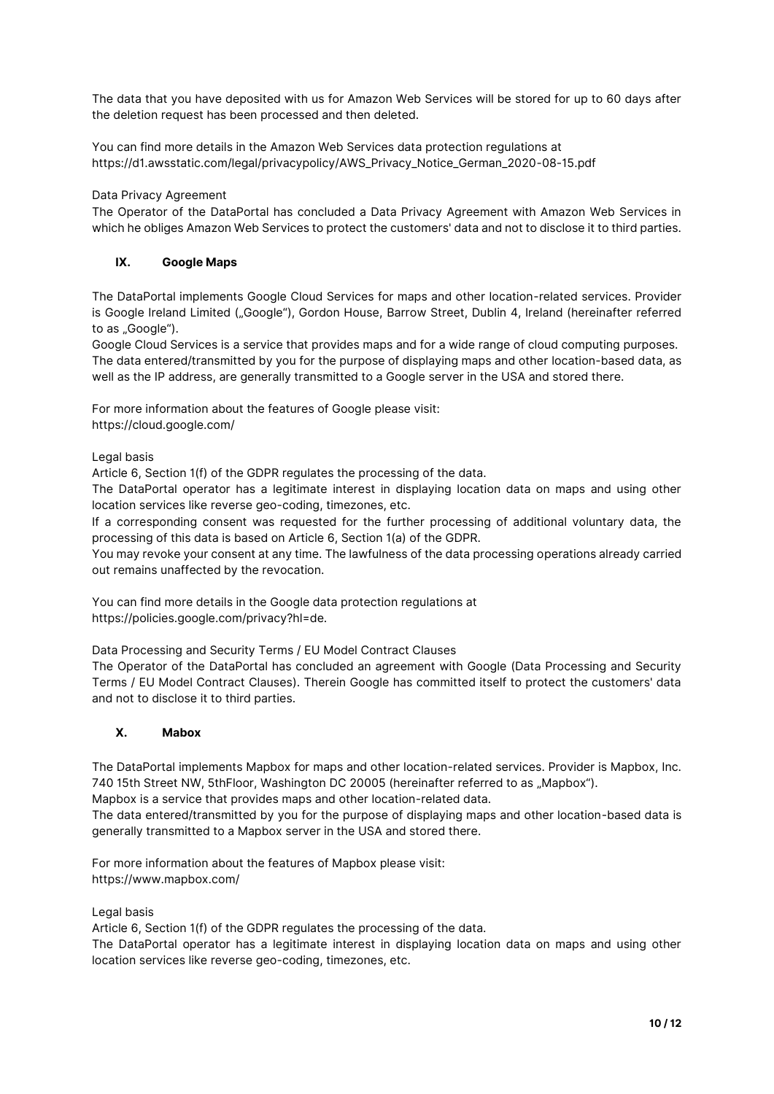The data that you have deposited with us for Amazon Web Services will be stored for up to 60 days after the deletion request has been processed and then deleted.

You can find more details in the Amazon Web Services data protection regulations at https://d1.awsstatic.com/legal/privacypolicy/AWS\_Privacy\_Notice\_German\_2020-08-15.pdf

### Data Privacy Agreement

The Operator of the DataPortal has concluded a Data Privacy Agreement with Amazon Web Services in which he obliges Amazon Web Services to protect the customers' data and not to disclose it to third parties.

# **IX. Google Maps**

The DataPortal implements Google Cloud Services for maps and other location-related services. Provider is Google Ireland Limited ("Google"), Gordon House, Barrow Street, Dublin 4, Ireland (hereinafter referred to as "Google").

Google Cloud Services is a service that provides maps and for a wide range of cloud computing purposes. The data entered/transmitted by you for the purpose of displaying maps and other location-based data, as well as the IP address, are generally transmitted to a Google server in the USA and stored there.

For more information about the features of Google please visit: https://cloud.google.com/

Legal basis

Article 6, Section 1(f) of the GDPR regulates the processing of the data.

The DataPortal operator has a legitimate interest in displaying location data on maps and using other location services like reverse geo-coding, timezones, etc.

If a corresponding consent was requested for the further processing of additional voluntary data, the processing of this data is based on Article 6, Section 1(a) of the GDPR.

You may revoke your consent at any time. The lawfulness of the data processing operations already carried out remains unaffected by the revocation.

You can find more details in the Google data protection regulations at https://policies.google.com/privacy?hl=de.

Data Processing and Security Terms / EU Model Contract Clauses

The Operator of the DataPortal has concluded an agreement with Google (Data Processing and Security Terms / EU Model Contract Clauses). Therein Google has committed itself to protect the customers' data and not to disclose it to third parties.

# **X. Mabox**

The DataPortal implements Mapbox for maps and other location-related services. Provider is Mapbox, Inc. 740 15th Street NW, 5thFloor, Washington DC 20005 (hereinafter referred to as "Mapbox").

Mapbox is a service that provides maps and other location-related data.

The data entered/transmitted by you for the purpose of displaying maps and other location-based data is generally transmitted to a Mapbox server in the USA and stored there.

For more information about the features of Mapbox please visit: https://www.mapbox.com/

Legal basis

Article 6, Section 1(f) of the GDPR regulates the processing of the data.

The DataPortal operator has a legitimate interest in displaying location data on maps and using other location services like reverse geo-coding, timezones, etc.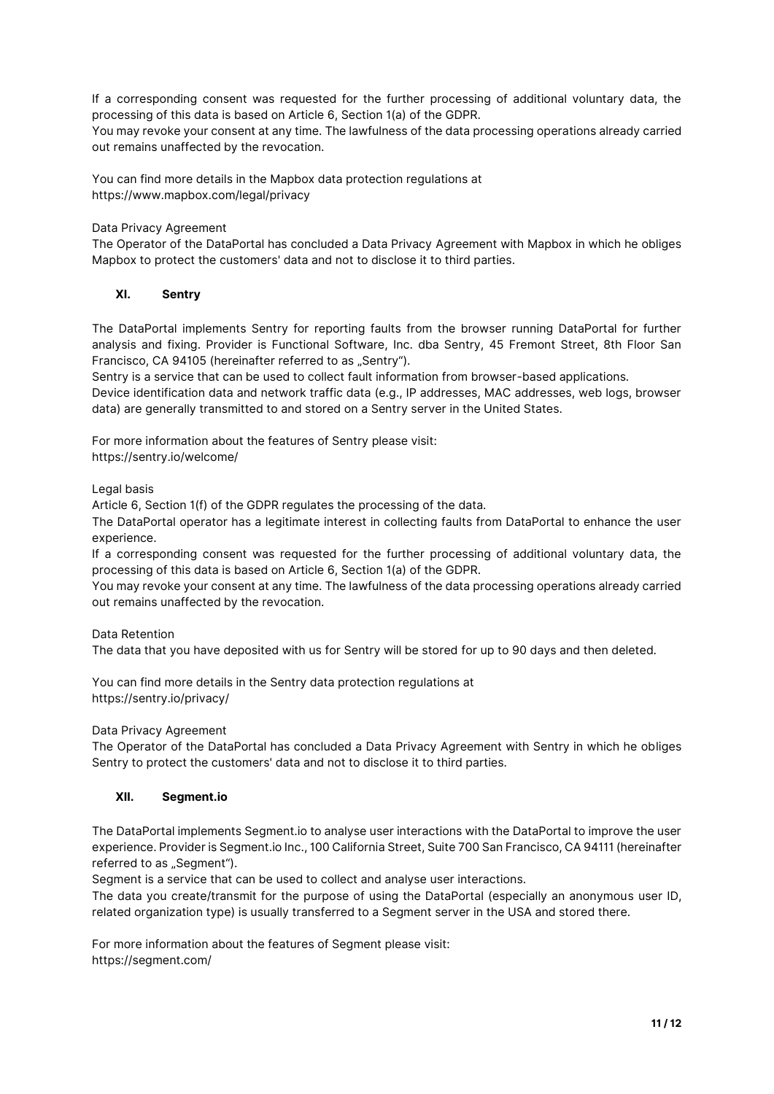If a corresponding consent was requested for the further processing of additional voluntary data, the processing of this data is based on Article 6, Section 1(a) of the GDPR.

You may revoke your consent at any time. The lawfulness of the data processing operations already carried out remains unaffected by the revocation.

You can find more details in the Mapbox data protection regulations at https://www.mapbox.com/legal/privacy

### Data Privacy Agreement

The Operator of the DataPortal has concluded a Data Privacy Agreement with Mapbox in which he obliges Mapbox to protect the customers' data and not to disclose it to third parties.

### **XI. Sentry**

The DataPortal implements Sentry for reporting faults from the browser running DataPortal for further analysis and fixing. Provider is Functional Software, Inc. dba Sentry, 45 Fremont Street, 8th Floor San Francisco, CA 94105 (hereinafter referred to as "Sentry").

Sentry is a service that can be used to collect fault information from browser-based applications.

Device identification data and network traffic data (e.g., IP addresses, MAC addresses, web logs, browser data) are generally transmitted to and stored on a Sentry server in the United States.

For more information about the features of Sentry please visit: https://sentry.io/welcome/

Legal basis

Article 6, Section 1(f) of the GDPR regulates the processing of the data.

The DataPortal operator has a legitimate interest in collecting faults from DataPortal to enhance the user experience.

If a corresponding consent was requested for the further processing of additional voluntary data, the processing of this data is based on Article 6, Section 1(a) of the GDPR.

You may revoke your consent at any time. The lawfulness of the data processing operations already carried out remains unaffected by the revocation.

#### Data Retention

The data that you have deposited with us for Sentry will be stored for up to 90 days and then deleted.

You can find more details in the Sentry data protection regulations at https://sentry.io/privacy/

Data Privacy Agreement

The Operator of the DataPortal has concluded a Data Privacy Agreement with Sentry in which he obliges Sentry to protect the customers' data and not to disclose it to third parties.

# **XII. Segment.io**

The DataPortal implements Segment.io to analyse user interactions with the DataPortal to improve the user experience. Provider is Segment.io Inc., 100 California Street, Suite 700 San Francisco, CA 94111 (hereinafter referred to as "Segment").

Segment is a service that can be used to collect and analyse user interactions.

The data you create/transmit for the purpose of using the DataPortal (especially an anonymous user ID, related organization type) is usually transferred to a Segment server in the USA and stored there.

For more information about the features of Segment please visit: https://segment.com/